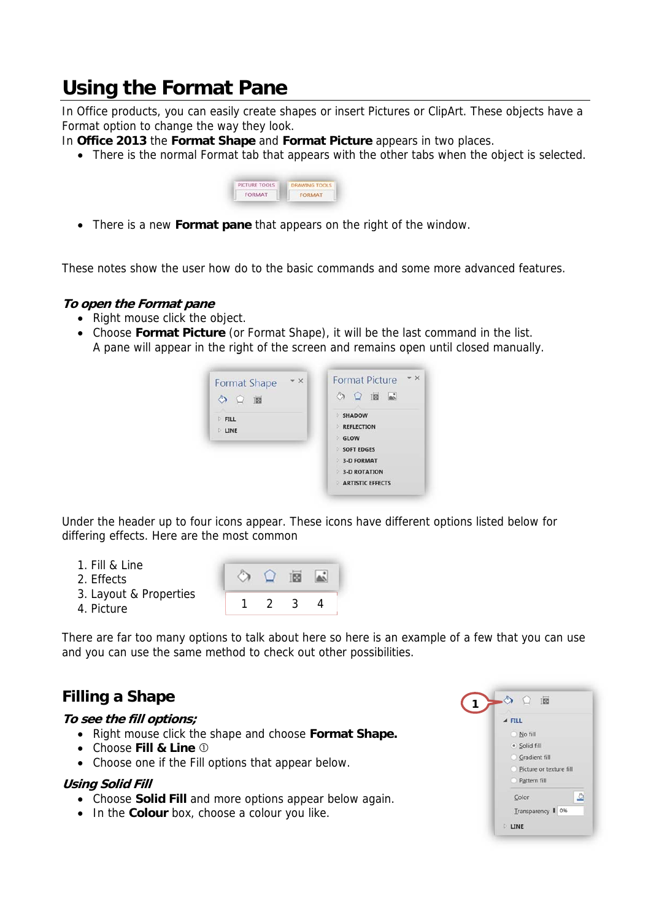# **Using the Format Pane**

In Office products, you can easily create shapes or insert Pictures or ClipArt. These objects have a Format option to change the way they look.

In **Office 2013** the **Format Shape** and **Format Picture** appears in two places.

• There is the normal Format tab that appears with the other tabs when the object is selected.



There is a new **Format pane** that appears on the right of the window.

These notes show the user how do to the basic commands and some more advanced features.

#### **To open the Format pane**

- Right mouse click the object.
- Choose **Format Picture** (or Format Shape), it will be the last command in the list. A pane will appear in the right of the screen and remains open until closed manually.



Under the header up to four icons appear. These icons have different options listed below for differing effects. Here are the most common

تھا

- 1. Fill & Line
- 2. Effects
- 3. Layout & Properties
- 4. Picture

There are far too many options to talk about here so here is an example of a few that you can use and you can use the same method to check out other possibilities.

1 2 3 4

TEG

# **Filling a Shape**

#### **To see the fill options;**

- Right mouse click the shape and choose Format Shape.
- Choose **Fill & Line**
- Choose one if the Fill options that appear below.

## **Using Solid Fill**

- Choose **Solid Fill** and more options appear below again.
- In the **Colour** box, choose a colour you like.